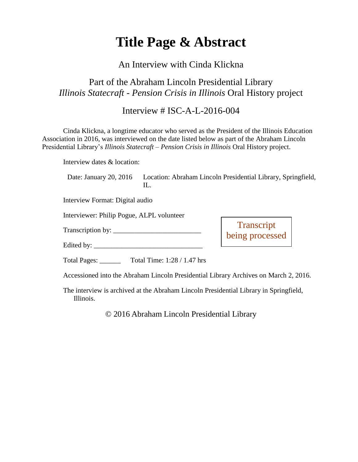# **Title Page & Abstract**

#### An Interview with Cinda Klickna

# Part of the Abraham Lincoln Presidential Library *Illinois Statecraft - Pension Crisis in Illinois* Oral History project

### Interview # ISC-A-L-2016-004

Cinda Klickna, a longtime educator who served as the President of the Illinois Education Association in 2016, was interviewed on the date listed below as part of the Abraham Lincoln Presidential Library's *Illinois Statecraft – Pension Crisis in Illinois* Oral History project.

Interview dates & location:

Date: January 20, 2016 Location: Abraham Lincoln Presidential Library, Springfield,  $\Pi$ .

> **Transcript** being processed

Interview Format: Digital audio

Interviewer: Philip Pogue, ALPL volunteer

Transcription by: \_\_\_\_\_\_\_\_\_\_\_\_\_\_\_\_\_\_\_\_\_\_\_\_\_

Edited by: \_\_\_\_\_\_\_\_\_\_\_\_\_\_\_\_\_\_\_\_\_\_\_\_\_\_\_\_\_\_\_

Total Pages: \_\_\_\_\_\_ Total Time: 1:28 / 1.47 hrs

Accessioned into the Abraham Lincoln Presidential Library Archives on March 2, 2016.

The interview is archived at the Abraham Lincoln Presidential Library in Springfield, Illinois.

© 2016 Abraham Lincoln Presidential Library